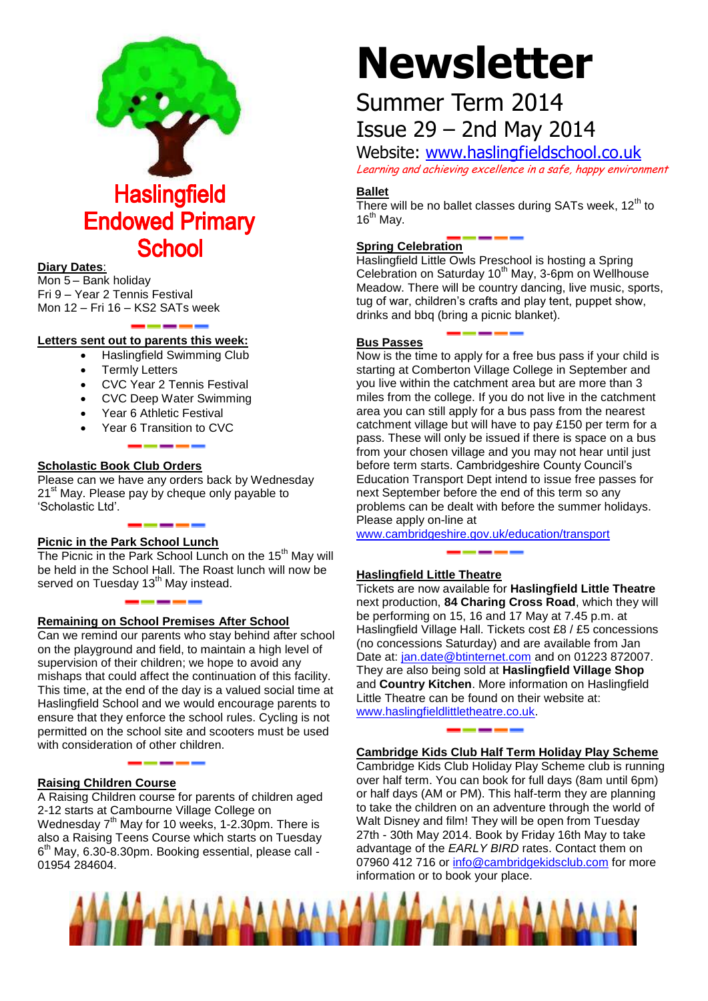

#### **Diary Dates**:

Mon 5 – Bank holidav Fri 9 – Year 2 Tennis Festival Mon 12 – Fri 16 – KS2 SATs week

#### **Letters sent out to parents this week:**

- Haslingfield Swimming Club
- Termly Letters
- CVC Year 2 Tennis Festival
- CVC Deep Water Swimming
- Year 6 Athletic Festival
- Year 6 Transition to CVC

#### **Scholastic Book Club Orders**

Please can we have any orders back by Wednesday 21<sup>st</sup> May. Please pay by cheque only payable to 'Scholastic Ltd'.

#### **Picnic in the Park School Lunch**

The Picnic in the Park School Lunch on the 15<sup>th</sup> May will be held in the School Hall. The Roast lunch will now be served on Tuesday 13<sup>th</sup> May instead.

#### **Remaining on School Premises After School**

Can we remind our parents who stay behind after school on the playground and field, to maintain a high level of supervision of their children; we hope to avoid any mishaps that could affect the continuation of this facility. This time, at the end of the day is a valued social time at Haslingfield School and we would encourage parents to ensure that they enforce the school rules. Cycling is not permitted on the school site and scooters must be used with consideration of other children.

**Raising Children Course** A Raising Children course for parents of children aged 2-12 starts at Cambourne Village College on Wednesday 7<sup>th</sup> May for 10 weeks, 1-2.30pm. There is also a Raising Teens Course which starts on Tuesday 6<sup>th</sup> May, 6.30-8.30pm. Booking essential, please call -01954 284604.

# **Newsletter**

## Summer Term 2014 Issue 29 – 2nd May 2014

Website: [www.haslingfieldschool.co.uk](http://www.haslingfieldschool.co.uk/) Learning and achieving excellence in a safe, happy environment

#### **Ballet**

There will be no ballet classes during SATs week,  $12<sup>th</sup>$  to  $16^{th}$  Mav.

#### **Spring Celebration**

Haslingfield Little Owls Preschool is hosting a Spring Celebration on Saturday 10<sup>th</sup> May, 3-6pm on Wellhouse Meadow. There will be country dancing, live music, sports, tug of war, children's crafts and play tent, puppet show, drinks and bbq (bring a picnic blanket).

#### **Bus Passes**

Now is the time to apply for a free bus pass if your child is starting at Comberton Village College in September and you live within the catchment area but are more than 3 miles from the college. If you do not live in the catchment area you can still apply for a bus pass from the nearest catchment village but will have to pay £150 per term for a pass. These will only be issued if there is space on a bus from your chosen village and you may not hear until just before term starts. Cambridgeshire County Council's Education Transport Dept intend to issue free passes for next September before the end of this term so any problems can be dealt with before the summer holidays. Please apply on-line at

[www.cambridgeshire.gov.uk/education/transport](http://www.cambridgeshire.gov.uk/education/transport)

#### **Haslingfield Little Theatre**

Tickets are now available for **Haslingfield Little Theatre** next production, **84 Charing Cross Road**, which they will be performing on 15, 16 and 17 May at 7.45 p.m. at Haslingfield Village Hall. Tickets cost £8 / £5 concessions (no concessions Saturday) and are available from Jan Date at: jan.date@btinternet.com and on 01223 872007. They are also being sold at **Haslingfield Village Shop** and **Country Kitchen**. More information on Haslingfield Little Theatre can be found on their website at: www.haslingfieldlittletheatre.co.uk.

#### **Cambridge Kids Club Half Term Holiday Play Scheme**

Cambridge Kids Club Holiday Play Scheme club is running over half term. You can book for full days (8am until 6pm) or half days (AM or PM). This half-term they are planning to take the children on an adventure through the world of Walt Disney and film! They will be open from Tuesday 27th - 30th May 2014. Book by Friday 16th May to take advantage of the *EARLY BIRD* rates. Contact them on 07960 412 716 or [info@cambridgekidsclub.com](mailto:info@cambridgekidsclub.com) for more information or to book your place.